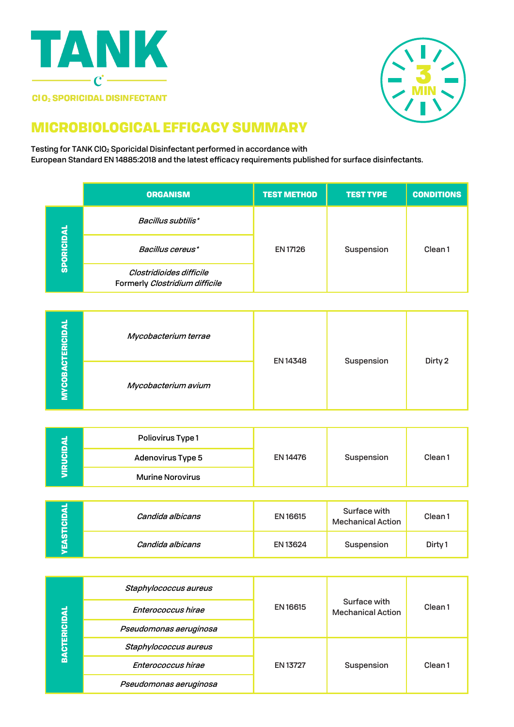



## MICROBIOLOGICAL EFFICACY SUMMARY

Testing for TANK ClO2 Sporicidal Disinfectant performed in accordance with European Standard EN 14885:2018 and the latest efficacy requirements published for surface disinfectants.

|                   | <b>ORGANISM</b>                                            | <b>TEST METHOD</b> | <b>TEST TYPE</b> | <b>CONDITIONS</b> |
|-------------------|------------------------------------------------------------|--------------------|------------------|-------------------|
| <b>SPORICIDAL</b> | Bacillus subtilis*                                         | <b>EN 17126</b>    | Suspension       | Clean1            |
|                   | Bacillus cereus*                                           |                    |                  |                   |
|                   | Clostridioides difficile<br>Formerly Clostridium difficile |                    |                  |                   |

| <b>YCOBACTERICIDAL</b> | Mycobacterium terrae |          |            |         |
|------------------------|----------------------|----------|------------|---------|
| Σ                      | Mycobacterium avium  | EN 14348 | Suspension | Dirty 2 |

| ≘<br><b>O</b><br>忌 | <b>Poliovirus Type 1</b> | EN 14476 | Suspension | Clean <sub>1</sub> |
|--------------------|--------------------------|----------|------------|--------------------|
|                    | <b>Adenovirus Type 5</b> |          |            |                    |
|                    | <b>Murine Norovirus</b>  |          |            |                    |

| я<br>TICID<br>π | Candida albicans | <b>EN 16615</b> | Surface with<br><b>Mechanical Action</b> | Clean 1            |
|-----------------|------------------|-----------------|------------------------------------------|--------------------|
|                 | Candida albicans | <b>EN 13624</b> | Suspension                               | Dirty <sub>1</sub> |

| <b>BACTERICIDAL</b> | Staphylococcus aureus  | EN 16615        | Surface with<br><b>Mechanical Action</b> | Clean <sub>1</sub> |
|---------------------|------------------------|-----------------|------------------------------------------|--------------------|
|                     | Enterococcus hirae     |                 |                                          |                    |
|                     | Pseudomonas aeruginosa |                 |                                          |                    |
|                     | Staphylococcus aureus  | <b>EN 13727</b> | Suspension                               | Clean <sub>1</sub> |
|                     | Enterococcus hirae     |                 |                                          |                    |
|                     | Pseudomonas aeruginosa |                 |                                          |                    |